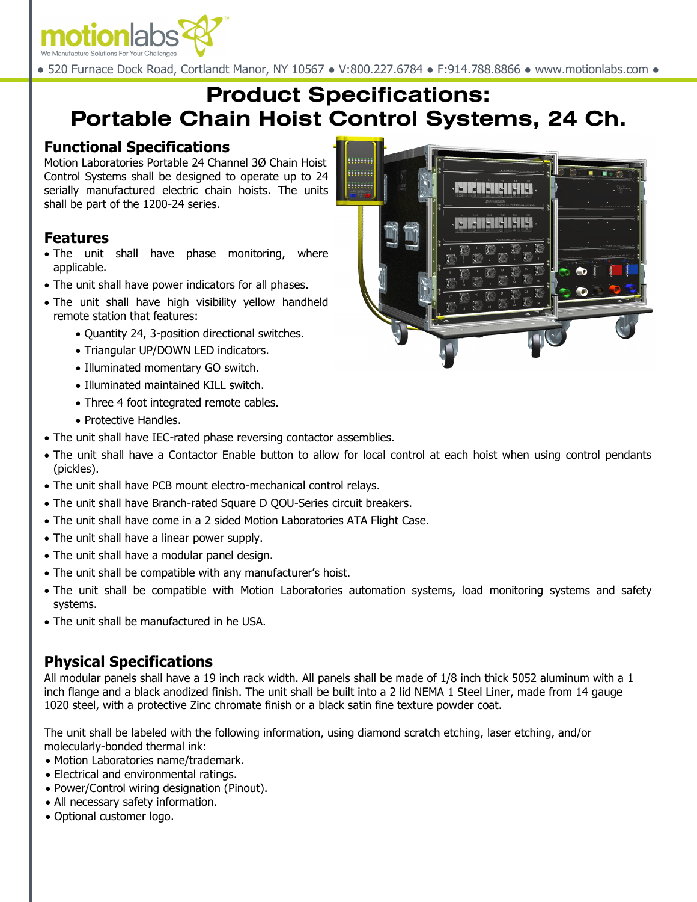

● 520 Furnace Dock Road, Cortlandt Manor, NY 10567 ● V:800.227.6784 ● F:914.788.8866 ● www.motionlabs.com ●

# **Product Specifications: Portable Chain Hoist Control Systems, 24 Ch.**

#### **Functional Specifications**

Motion Laboratories Portable 24 Channel 3Ø Chain Hoist Control Systems shall be designed to operate up to 24 serially manufactured electric chain hoists. The units shall be part of the 1200-24 series.

#### **Features**

- The unit shall have phase monitoring, where applicable.
- The unit shall have power indicators for all phases.
- The unit shall have high visibility yellow handheld remote station that features:
	- Quantity 24, 3-position directional switches.
	- Triangular UP/DOWN LED indicators.
	- Illuminated momentary GO switch.
	- Illuminated maintained KILL switch.
	- Three 4 foot integrated remote cables.
	- Protective Handles.
- The unit shall have IEC-rated phase reversing contactor assemblies.
- The unit shall have a Contactor Enable button to allow for local control at each hoist when using control pendants (pickles).
- The unit shall have PCB mount electro-mechanical control relays.
- The unit shall have Branch-rated Square D QOU-Series circuit breakers.
- The unit shall have come in a 2 sided Motion Laboratories ATA Flight Case.
- The unit shall have a linear power supply.
- The unit shall have a modular panel design.
- The unit shall be compatible with any manufacturer's hoist.
- The unit shall be compatible with Motion Laboratories automation systems, load monitoring systems and safety systems.
- The unit shall be manufactured in he USA.

#### **Physical Specifications**

All modular panels shall have a 19 inch rack width. All panels shall be made of 1/8 inch thick 5052 aluminum with a 1 inch flange and a black anodized finish. The unit shall be built into a 2 lid NEMA 1 Steel Liner, made from 14 gauge 1020 steel, with a protective Zinc chromate finish or a black satin fine texture powder coat.

The unit shall be labeled with the following information, using diamond scratch etching, laser etching, and/or molecularly-bonded thermal ink:

- Motion Laboratories name/trademark.
- Electrical and environmental ratings.
- Power/Control wiring designation (Pinout).
- All necessary safety information.
- Optional customer logo.